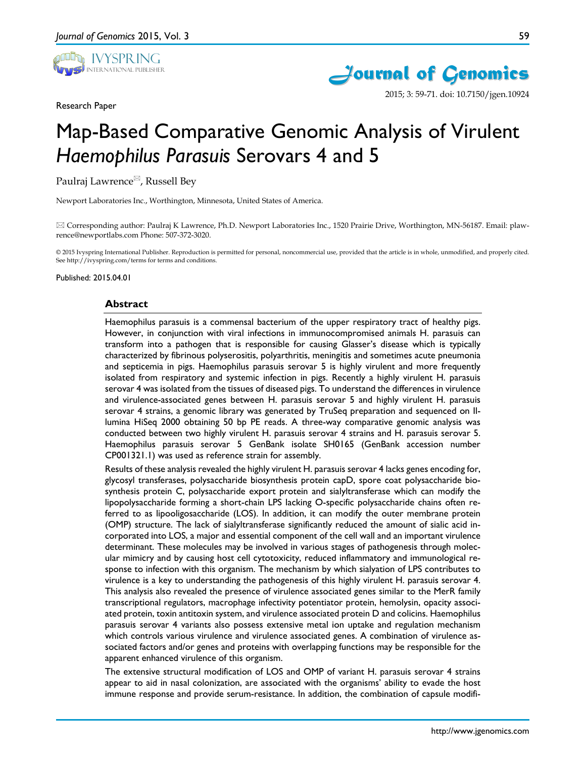

Research Paper





2015; 3: 59-71. doi: 10.7150/jgen.10924

# Map-Based Comparative Genomic Analysis of Virulent *Haemophilus Parasuis* Serovars 4 and 5

Paulraj Lawrence<sup>⊠</sup>, Russell Bey

Newport Laboratories Inc., Worthington, Minnesota, United States of America.

 Corresponding author: Paulraj K Lawrence, Ph.D. Newport Laboratories Inc., 1520 Prairie Drive, Worthington, MN-56187. Email: plawrence@newportlabs.com Phone: 507-372-3020.

© 2015 Ivyspring International Publisher. Reproduction is permitted for personal, noncommercial use, provided that the article is in whole, unmodified, and properly cited. See http://ivyspring.com/terms for terms and conditions.

Published: 2015.04.01

#### **Abstract**

Haemophilus parasuis is a commensal bacterium of the upper respiratory tract of healthy pigs. However, in conjunction with viral infections in immunocompromised animals H. parasuis can transform into a pathogen that is responsible for causing Glasser's disease which is typically characterized by fibrinous polyserositis, polyarthritis, meningitis and sometimes acute pneumonia and septicemia in pigs. Haemophilus parasuis serovar 5 is highly virulent and more frequently isolated from respiratory and systemic infection in pigs. Recently a highly virulent H. parasuis serovar 4 was isolated from the tissues of diseased pigs. To understand the differences in virulence and virulence-associated genes between H. parasuis serovar 5 and highly virulent H. parasuis serovar 4 strains, a genomic library was generated by TruSeq preparation and sequenced on Illumina HiSeq 2000 obtaining 50 bp PE reads. A three-way comparative genomic analysis was conducted between two highly virulent H. parasuis serovar 4 strains and H. parasuis serovar 5. Haemophilus parasuis serovar 5 GenBank isolate SH0165 (GenBank accession number CP001321.1) was used as reference strain for assembly.

Results of these analysis revealed the highly virulent H. parasuis serovar 4 lacks genes encoding for, glycosyl transferases, polysaccharide biosynthesis protein capD, spore coat polysaccharide biosynthesis protein C, polysaccharide export protein and sialyltransferase which can modify the lipopolysaccharide forming a short-chain LPS lacking O-specific polysaccharide chains often referred to as lipooligosaccharide (LOS). In addition, it can modify the outer membrane protein (OMP) structure. The lack of sialyltransferase significantly reduced the amount of sialic acid incorporated into LOS, a major and essential component of the cell wall and an important virulence determinant. These molecules may be involved in various stages of pathogenesis through molecular mimicry and by causing host cell cytotoxicity, reduced inflammatory and immunological response to infection with this organism. The mechanism by which sialyation of LPS contributes to virulence is a key to understanding the pathogenesis of this highly virulent H. parasuis serovar 4. This analysis also revealed the presence of virulence associated genes similar to the MerR family transcriptional regulators, macrophage infectivity potentiator protein, hemolysin, opacity associated protein, toxin antitoxin system, and virulence associated protein D and colicins. Haemophilus parasuis serovar 4 variants also possess extensive metal ion uptake and regulation mechanism which controls various virulence and virulence associated genes. A combination of virulence associated factors and/or genes and proteins with overlapping functions may be responsible for the apparent enhanced virulence of this organism.

The extensive structural modification of LOS and OMP of variant H. parasuis serovar 4 strains appear to aid in nasal colonization, are associated with the organisms' ability to evade the host immune response and provide serum-resistance. In addition, the combination of capsule modifi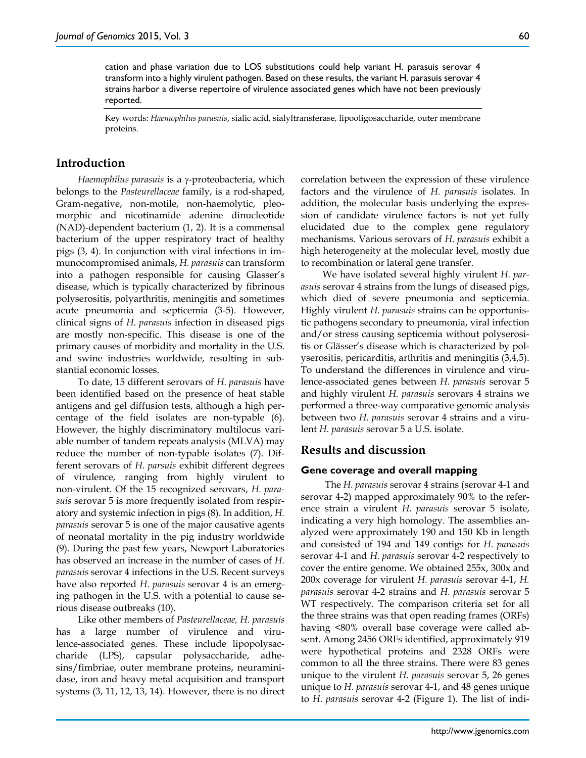cation and phase variation due to LOS substitutions could help variant H. parasuis serovar 4 transform into a highly virulent pathogen. Based on these results, the variant H. parasuis serovar 4 strains harbor a diverse repertoire of virulence associated genes which have not been previously reported.

Key words: *Haemophilus parasuis*, sialic acid, sialyltransferase, lipooligosaccharide, outer membrane proteins.

# **Introduction**

*Haemophilus parasuis* is a γ-proteobacteria, which belongs to the *Pasteurellaceae* family, is a rod-shaped, Gram-negative, non-motile, non-haemolytic, pleomorphic and nicotinamide adenine dinucleotide (NAD)-dependent bacterium (1, 2). It is a commensal bacterium of the upper respiratory tract of healthy pigs (3, 4). In conjunction with viral infections in immunocompromised animals, *H. parasuis* can transform into a pathogen responsible for causing Glasser's disease, which is typically characterized by fibrinous polyserositis, polyarthritis, meningitis and sometimes acute pneumonia and septicemia (3-5). However, clinical signs of *H. parasuis* infection in diseased pigs are mostly non-specific. This disease is one of the primary causes of morbidity and mortality in the U.S. and swine industries worldwide, resulting in substantial economic losses.

To date, 15 different serovars of *H. parasuis* have been identified based on the presence of heat stable antigens and gel diffusion tests, although a high percentage of the field isolates are non-typable (6). However, the highly discriminatory multilocus variable number of tandem repeats analysis (MLVA) may reduce the number of non-typable isolates (7). Different serovars of *H. parsuis* exhibit different degrees of virulence, ranging from highly virulent to non-virulent. Of the 15 recognized serovars, *H. parasuis* serovar 5 is more frequently isolated from respiratory and systemic infection in pigs (8). In addition, *H. parasuis* serovar 5 is one of the major causative agents of neonatal mortality in the pig industry worldwide (9). During the past few years, Newport Laboratories has observed an increase in the number of cases of *H. parasuis* serovar 4 infections in the U.S. Recent surveys have also reported *H. parasuis* serovar 4 is an emerging pathogen in the U.S. with a potential to cause serious disease outbreaks (10).

Like other members of *Pasteurellaceae, H. parasuis* has a large number of virulence and virulence-associated genes. These include lipopolysaccharide (LPS), capsular polysaccharide, adhesins/fimbriae, outer membrane proteins, neuraminidase, iron and heavy metal acquisition and transport systems (3, 11, 12, 13, 14). However, there is no direct correlation between the expression of these virulence factors and the virulence of *H. parasuis* isolates. In addition, the molecular basis underlying the expression of candidate virulence factors is not yet fully elucidated due to the complex gene regulatory mechanisms. Various serovars of *H. parasuis* exhibit a high heterogeneity at the molecular level, mostly due to recombination or lateral gene transfer.

We have isolated several highly virulent *H. parasuis* serovar 4 strains from the lungs of diseased pigs, which died of severe pneumonia and septicemia. Highly virulent *H. parasuis* strains can be opportunistic pathogens secondary to pneumonia, viral infection and/or stress causing septicemia without polyserositis or Glässer's disease which is characterized by polyserositis, pericarditis, arthritis and meningitis (3,4,5). To understand the differences in virulence and virulence-associated genes between *H. parasuis* serovar 5 and highly virulent *H. parasuis* serovars 4 strains we performed a three-way comparative genomic analysis between two *H. parasuis* serovar 4 strains and a virulent *H. parasuis* serovar 5 a U.S. isolate.

# **Results and discussion**

#### **Gene coverage and overall mapping**

The *H. parasuis* serovar 4 strains (serovar 4-1 and serovar 4-2) mapped approximately 90% to the reference strain a virulent *H. parasuis* serovar 5 isolate, indicating a very high homology. The assemblies analyzed were approximately 190 and 150 Kb in length and consisted of 194 and 149 contigs for *H. parasuis* serovar 4-1 and *H. parasuis* serovar 4-2 respectively to cover the entire genome. We obtained 255x, 300x and 200x coverage for virulent *H. parasuis* serovar 4-1, *H. parasuis* serovar 4-2 strains and *H. parasuis* serovar 5 WT respectively. The comparison criteria set for all the three strains was that open reading frames (ORFs) having <80% overall base coverage were called absent. Among 2456 ORFs identified, approximately 919 were hypothetical proteins and 2328 ORFs were common to all the three strains. There were 83 genes unique to the virulent *H. parasuis* serovar 5, 26 genes unique to *H. parasuis* serovar 4-1, and 48 genes unique to *H. parasuis* serovar 4-2 (Figure 1). The list of indi-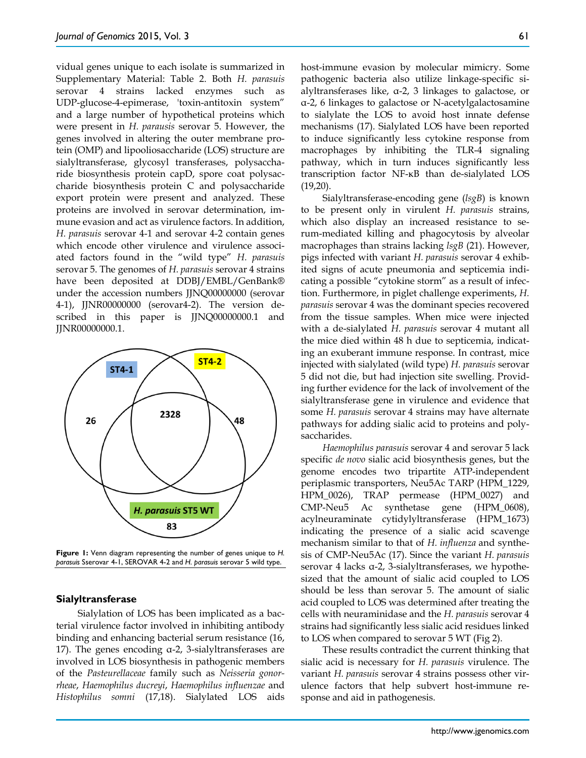vidual genes unique to each isolate is summarized in Supplementary Material: Table 2. Both *H. parasuis* serovar 4 strains lacked enzymes such as UDP-glucose-4-epimerase, 'toxin-antitoxin system" and a large number of hypothetical proteins which were present in *H. parausis* serovar 5. However, the genes involved in altering the outer membrane protein (OMP) and lipooliosaccharide (LOS) structure are sialyltransferase, glycosyl transferases, polysaccharide biosynthesis protein capD, spore coat polysaccharide biosynthesis protein C and polysaccharide export protein were present and analyzed. These proteins are involved in serovar determination, immune evasion and act as virulence factors. In addition, *H. parasuis* serovar 4-1 and serovar 4-2 contain genes which encode other virulence and virulence associated factors found in the "wild type" *H. parasuis* serovar 5. The genomes of *H. parasuis* serovar 4 strains have been deposited at DDBJ/EMBL/GenBank® under the accession numbers JJNQ00000000 (serovar 4-1), JJNR00000000 (serovar4-2). The version described in this paper is JJNQ00000000.1 and JJNR00000000.1.



**Figure 1:** Venn diagram representing the number of genes unique to *H. parasuis* Sserovar 4-1, SEROVAR 4-2 and *H. parasuis* serovar 5 wild type.

#### **Sialyltransferase**

Sialylation of LOS has been implicated as a bacterial virulence factor involved in inhibiting antibody binding and enhancing bacterial serum resistance (16, 17). The genes encoding α-2, 3-sialyltransferases are involved in LOS biosynthesis in pathogenic members of the *Pasteurellaceae* family such as *Neisseria gonorrheae*, *Haemophilus ducreyi*, *Haemophilus influenzae* and *Histophilus somni* (17,18). Sialylated LOS aids

host-immune evasion by molecular mimicry. Some pathogenic bacteria also utilize linkage-specific sialyltransferases like, α-2, 3 linkages to galactose, or α-2, 6 linkages to galactose or N-acetylgalactosamine to sialylate the LOS to avoid host innate defense mechanisms (17). Sialylated LOS have been reported to induce significantly less cytokine response from macrophages by inhibiting the TLR-4 signaling pathway, which in turn induces significantly less transcription factor NF-κB than de-sialylated LOS (19,20).

Sialyltransferase-encoding gene (*lsgB*) is known to be present only in virulent *H. parasuis* strains, which also display an increased resistance to serum-mediated killing and phagocytosis by alveolar macrophages than strains lacking *lsgB* (21). However, pigs infected with variant *H. parasuis* serovar 4 exhibited signs of acute pneumonia and septicemia indicating a possible "cytokine storm" as a result of infection. Furthermore, in piglet challenge experiments, *H. parasuis* serovar 4 was the dominant species recovered from the tissue samples. When mice were injected with a de-sialylated *H. parasuis* serovar 4 mutant all the mice died within 48 h due to septicemia, indicating an exuberant immune response. In contrast, mice injected with sialylated (wild type) *H. parasuis* serovar 5 did not die, but had injection site swelling. Providing further evidence for the lack of involvement of the sialyltransferase gene in virulence and evidence that some *H. parasuis* serovar 4 strains may have alternate pathways for adding sialic acid to proteins and polysaccharides.

*Haemophilus parasuis* serovar 4 and serovar 5 lack specific *de novo* sialic acid biosynthesis genes, but the genome encodes two tripartite ATP-independent periplasmic transporters, Neu5Ac TARP (HPM\_1229, HPM\_0026), TRAP permease (HPM\_0027) and CMP-Neu5 Ac synthetase gene (HPM\_0608), acylneuraminate cytidylyltransferase (HPM\_1673) indicating the presence of a sialic acid scavenge mechanism similar to that of *H. influenza* and synthesis of CMP-Neu5Ac (17). Since the variant *H. parasuis* serovar 4 lacks α-2, 3-sialyltransferases, we hypothesized that the amount of sialic acid coupled to LOS should be less than serovar 5. The amount of sialic acid coupled to LOS was determined after treating the cells with neuraminidase and the *H. parasuis* serovar 4 strains had significantly less sialic acid residues linked to LOS when compared to serovar 5 WT (Fig 2).

These results contradict the current thinking that sialic acid is necessary for *H. parasuis* virulence. The variant *H. parasuis* serovar 4 strains possess other virulence factors that help subvert host-immune response and aid in pathogenesis.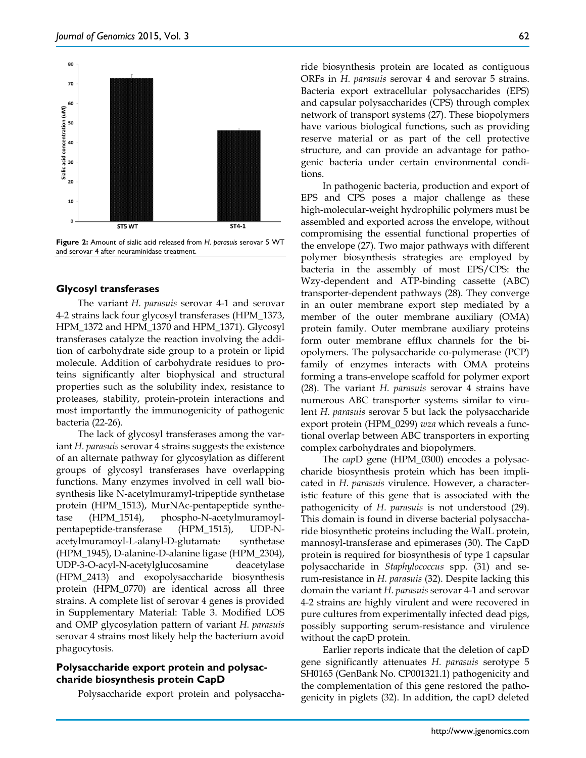

**Figure 2:** Amount of sialic acid released from *H. parasuis* serovar 5 WT and serovar 4 after neuraminidase treatment.

#### **Glycosyl transferases**

The variant *H. parasuis* serovar 4-1 and serovar 4-2 strains lack four glycosyl transferases (HPM\_1373, HPM\_1372 and HPM\_1370 and HPM\_1371). Glycosyl transferases catalyze the reaction involving the addition of carbohydrate side group to a protein or lipid molecule. Addition of carbohydrate residues to proteins significantly alter biophysical and structural properties such as the solubility index, resistance to proteases, stability, protein-protein interactions and most importantly the immunogenicity of pathogenic bacteria (22-26).

The lack of glycosyl transferases among the variant *H. parasuis* serovar 4 strains suggests the existence of an alternate pathway for glycosylation as different groups of glycosyl transferases have overlapping functions. Many enzymes involved in cell wall biosynthesis like N-acetylmuramyl-tripeptide synthetase protein (HPM\_1513), MurNAc-pentapeptide synthetase (HPM\_1514), phospho-N-acetylmuramoylpentapeptide-transferase (HPM\_1515), UDP-Nacetylmuramoyl-L-alanyl-D-glutamate synthetase (HPM\_1945), D-alanine-D-alanine ligase (HPM\_2304), UDP-3-O-acyl-N-acetylglucosamine deacetylase (HPM\_2413) and exopolysaccharide biosynthesis protein (HPM\_0770) are identical across all three strains. A complete list of serovar 4 genes is provided in Supplementary Material: Table 3. Modified LOS and OMP glycosylation pattern of variant *H. parasuis* serovar 4 strains most likely help the bacterium avoid phagocytosis.

#### **Polysaccharide export protein and polysaccharide biosynthesis protein CapD**

Polysaccharide export protein and polysaccha-

ride biosynthesis protein are located as contiguous ORFs in *H. parasuis* serovar 4 and serovar 5 strains. Bacteria export extracellular polysaccharides (EPS) and capsular polysaccharides (CPS) through complex network of transport systems (27). These biopolymers have various biological functions, such as providing reserve material or as part of the cell protective structure, and can provide an advantage for pathogenic bacteria under certain environmental conditions.

In pathogenic bacteria, production and export of EPS and CPS poses a major challenge as these high-molecular-weight hydrophilic polymers must be assembled and exported across the envelope, without compromising the essential functional properties of the envelope (27). Two major pathways with different polymer biosynthesis strategies are employed by bacteria in the assembly of most EPS/CPS: the Wzy-dependent and ATP-binding cassette (ABC) transporter-dependent pathways (28). They converge in an outer membrane export step mediated by a member of the outer membrane auxiliary (OMA) protein family. Outer membrane auxiliary proteins form outer membrane efflux channels for the biopolymers. The polysaccharide co-polymerase (PCP) family of enzymes interacts with OMA proteins forming a trans-envelope scaffold for polymer export (28). The variant *H. parasuis* serovar 4 strains have numerous ABC transporter systems similar to virulent *H. parasuis* serovar 5 but lack the polysaccharide export protein (HPM\_0299) *wza* which reveals a functional overlap between ABC transporters in exporting complex carbohydrates and biopolymers.

The *cap*D gene (HPM\_0300) encodes a polysaccharide biosynthesis protein which has been implicated in *H. parasuis* virulence. However, a characteristic feature of this gene that is associated with the pathogenicity of *H. parasuis* is not understood (29). This domain is found in diverse bacterial polysaccharide biosynthetic proteins including the WalL protein, mannosyl-transferase and epimerases (30). The CapD protein is required for biosynthesis of type 1 capsular polysaccharide in *Staphylococcus* spp. (31) and serum-resistance in *H. parasuis* (32). Despite lacking this domain the variant *H. parasuis* serovar 4-1 and serovar 4-2 strains are highly virulent and were recovered in pure cultures from experimentally infected dead pigs, possibly supporting serum-resistance and virulence without the capD protein.

Earlier reports indicate that the deletion of capD gene significantly attenuates *H. parasuis* serotype 5 SH0165 (GenBank No. CP001321.1) pathogenicity and the complementation of this gene restored the pathogenicity in piglets (32). In addition, the capD deleted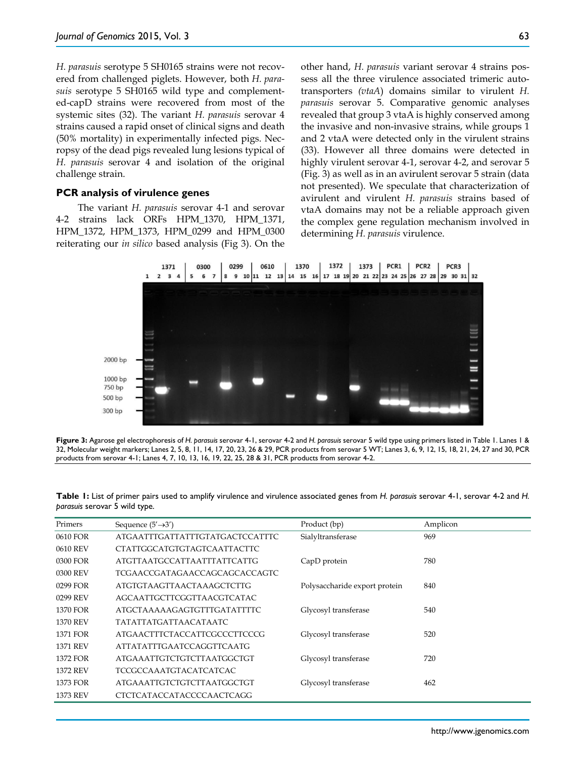*H. parasuis* serotype 5 SH0165 strains were not recovered from challenged piglets. However, both *H. parasuis* serotype 5 SH0165 wild type and complemented-capD strains were recovered from most of the systemic sites (32). The variant *H. parasuis* serovar 4 strains caused a rapid onset of clinical signs and death (50% mortality) in experimentally infected pigs. Necropsy of the dead pigs revealed lung lesions typical of *H. parasuis* serovar 4 and isolation of the original challenge strain.

#### **PCR analysis of virulence genes**

The variant *H. parasuis* serovar 4-1 and serovar 4-2 strains lack ORFs HPM\_1370, HPM\_1371, HPM\_1372, HPM\_1373, HPM\_0299 and HPM\_0300 reiterating our *in silico* based analysis (Fig 3). On the other hand, *H. parasuis* variant serovar 4 strains possess all the three virulence associated trimeric autotransporters *(vtaA*) domains similar to virulent *H. parasuis* serovar 5. Comparative genomic analyses revealed that group 3 vtaA is highly conserved among the invasive and non-invasive strains, while groups 1 and 2 vtaA were detected only in the virulent strains (33). However all three domains were detected in highly virulent serovar 4-1, serovar 4-2, and serovar 5 (Fig. 3) as well as in an avirulent serovar 5 strain (data not presented). We speculate that characterization of avirulent and virulent *H. parasuis* strains based of vtaA domains may not be a reliable approach given the complex gene regulation mechanism involved in determining *H. parasuis* virulence.



**Figure 3:** Agarose gel electrophoresis of *H. parasuis* serovar 4-1, serovar 4-2 and *H. parasuis* serovar 5 wild type using primers listed in Table 1. Lanes 1 & 32, Molecular weight markers; Lanes 2, 5, 8, 11, 14, 17, 20, 23, 26 & 29, PCR products from serovar 5 WT; Lanes 3, 6, 9, 12, 15, 18, 21, 24, 27 and 30, PCR products from serovar 4-1; Lanes 4, 7, 10, 13, 16, 19, 22, 25, 28 & 31, PCR products from serovar 4-2.

**Table 1:** List of primer pairs used to amplify virulence and virulence associated genes from *H. parasuis* serovar 4-1, serovar 4-2 and *H. parasuis* serovar 5 wild type.

| Primers         | Sequence $(5' \rightarrow 3')$       | Product (bp)                  | Amplicon |
|-----------------|--------------------------------------|-------------------------------|----------|
| 0610 FOR        | ATGAATTTGATTATTTGTATGACTCCATTTC      | Sialyltransferase             | 969      |
| 0610 REV        | CTATTGGCATGTGTAGTCAATTACTTC          |                               |          |
| 0300 FOR        | <b>ATGTTAATGCCATTAATTTATTCATTG</b>   | CapD protein                  | 780      |
| 0300 REV        | <b>TCGAACCGATAGAACCAGCAGCACCAGTC</b> |                               |          |
| 0299 FOR        | <b>ATGTGTAAGTTAACTAAAGCTCTTG</b>     | Polysaccharide export protein | 840      |
| 0299 REV        | AGCAATTGCTTCGGTTAACGTCATAC           |                               |          |
| 1370 FOR        | ATGCTAAAAAGAGTGTTTGATATTTTC          | Glycosyl transferase          | 540      |
| <b>1370 REV</b> | <b>TATATTATGATTAACATAATC</b>         |                               |          |
| 1371 FOR        | ATGAACTTTCTACCATTCGCCCTTCCCG         | Glycosyl transferase          | 520      |
| <b>1371 REV</b> | ATTATATTTGAATCCAGGTTCAATG            |                               |          |
| 1372 FOR        | <b>ATGAAATTGTCTGTCTTAATGGCTGT</b>    | Glycosyl transferase          | 720      |
| <b>1372 REV</b> | <b>TCCGCCAAATGTACATCATCAC</b>        |                               |          |
| 1373 FOR        | <b>ATGAAATTGTCTGTCTTAATGGCTGT</b>    | Glycosyl transferase          | 462      |
| 1373 REV        | CTCTCATACCATACCCCAACTCAGG            |                               |          |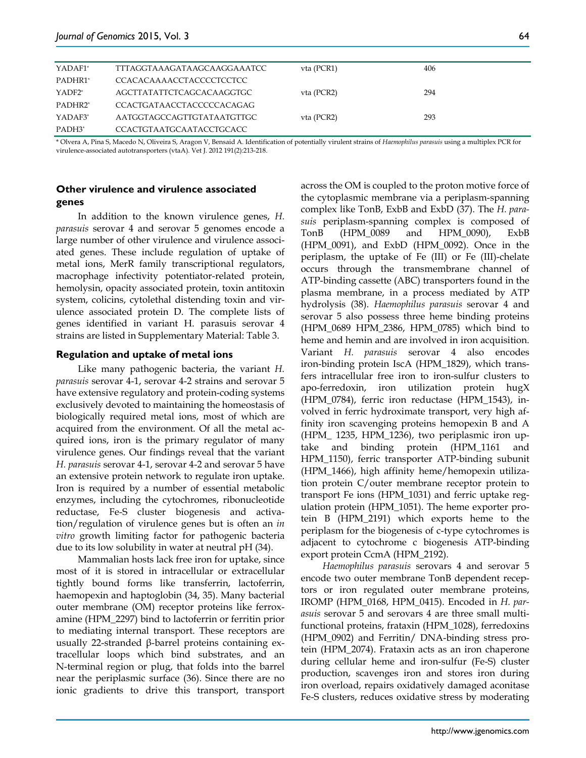| YADAF1*   | TTTAGGTAAAGATAAGCAAGGAAATCC     | vta (PCR1) | 406 |
|-----------|---------------------------------|------------|-----|
| PADHR1*   | CCACACAAAACCTACCCCTCCTCC        |            |     |
| $YADF2^*$ | AGCTTATATTCTCAGCACAAGGTGC       | vta (PCR2) | 294 |
| PADHR2*   | CCACTGATAACCTACCCCCACAGAG       |            |     |
| YADAF3*   | AATGGTAGCCAGTTGTATAATGTTGC      | vta (PCR2) | 293 |
| PADH3*    | <b>CCACTGTAATGCAATACCTGCACC</b> |            |     |

\* Olvera A, Pina S, Macedo N, Oliveira S, Aragon V, Bensaid A. Identification of potentially virulent strains of *Haemophilus parasuis* using a multiplex PCR for virulence-associated autotransporters (vtaA). Vet J. 2012 191(2):213-218.

# **Other virulence and virulence associated genes**

In addition to the known virulence genes, *H. parasuis* serovar 4 and serovar 5 genomes encode a large number of other virulence and virulence associated genes. These include regulation of uptake of metal ions, MerR family transcriptional regulators, macrophage infectivity potentiator-related protein, hemolysin, opacity associated protein, toxin antitoxin system, colicins, cytolethal distending toxin and virulence associated protein D. The complete lists of genes identified in variant H. parasuis serovar 4 strains are listed in Supplementary Material: Table 3.

#### **Regulation and uptake of metal ions**

Like many pathogenic bacteria, the variant *H. parasuis* serovar 4-1, serovar 4-2 strains and serovar 5 have extensive regulatory and protein-coding systems exclusively devoted to maintaining the homeostasis of biologically required metal ions, most of which are acquired from the environment. Of all the metal acquired ions, iron is the primary regulator of many virulence genes. Our findings reveal that the variant *H. parasuis* serovar 4-1, serovar 4-2 and serovar 5 have an extensive protein network to regulate iron uptake. Iron is required by a number of essential metabolic enzymes, including the cytochromes, ribonucleotide reductase, Fe-S cluster biogenesis and activation/regulation of virulence genes but is often an *in vitro* growth limiting factor for pathogenic bacteria due to its low solubility in water at neutral pH (34).

Mammalian hosts lack free iron for uptake, since most of it is stored in intracellular or extracellular tightly bound forms like transferrin, lactoferrin, haemopexin and haptoglobin (34, 35). Many bacterial outer membrane (OM) receptor proteins like ferroxamine (HPM\_2297) bind to lactoferrin or ferritin prior to mediating internal transport. These receptors are usually 22-stranded β-barrel proteins containing extracellular loops which bind substrates, and an N-terminal region or plug, that folds into the barrel near the periplasmic surface (36). Since there are no ionic gradients to drive this transport, transport across the OM is coupled to the proton motive force of the cytoplasmic membrane via a periplasm-spanning complex like TonB, ExbB and ExbD (37). The *H. parasuis* periplasm-spanning complex is composed of TonB (HPM\_0089 and HPM\_0090), ExbB (HPM\_0091), and ExbD (HPM\_0092). Once in the periplasm, the uptake of Fe (III) or Fe (III)-chelate occurs through the transmembrane channel of ATP-binding cassette (ABC) transporters found in the plasma membrane, in a process mediated by ATP hydrolysis (38). *Haemophilus parasuis* serovar 4 and serovar 5 also possess three heme binding proteins (HPM\_0689 HPM\_2386, HPM\_0785) which bind to heme and hemin and are involved in iron acquisition. Variant *H. parasuis* serovar 4 also encodes iron-binding protein IscA (HPM\_1829), which transfers intracellular free iron to iron-sulfur clusters to apo-ferredoxin, iron utilization protein hugX (HPM\_0784), ferric iron reductase (HPM\_1543), involved in ferric hydroximate transport, very high affinity iron scavenging proteins hemopexin B and A (HPM\_ 1235, HPM\_1236), two periplasmic iron uptake and binding protein (HPM\_1161 and HPM\_1150), ferric transporter ATP-binding subunit (HPM\_1466), high affinity heme/hemopexin utilization protein C/outer membrane receptor protein to transport Fe ions (HPM\_1031) and ferric uptake regulation protein (HPM\_1051). The heme exporter protein B (HPM\_2191) which exports heme to the periplasm for the biogenesis of c-type cytochromes is adjacent to cytochrome c biogenesis ATP-binding export protein CcmA (HPM\_2192).

*Haemophilus parasuis* serovars 4 and serovar 5 encode two outer membrane TonB dependent receptors or iron regulated outer membrane proteins, IROMP (HPM\_0168, HPM\_0415). Encoded in *H. parasuis* serovar 5 and serovars 4 are three small multifunctional proteins, frataxin (HPM\_1028), ferredoxins (HPM\_0902) and Ferritin/ DNA-binding stress protein (HPM\_2074). Frataxin acts as an iron chaperone during cellular heme and iron-sulfur (Fe-S) cluster production, scavenges iron and stores iron during iron overload, repairs oxidatively damaged aconitase Fe-S clusters, reduces oxidative stress by moderating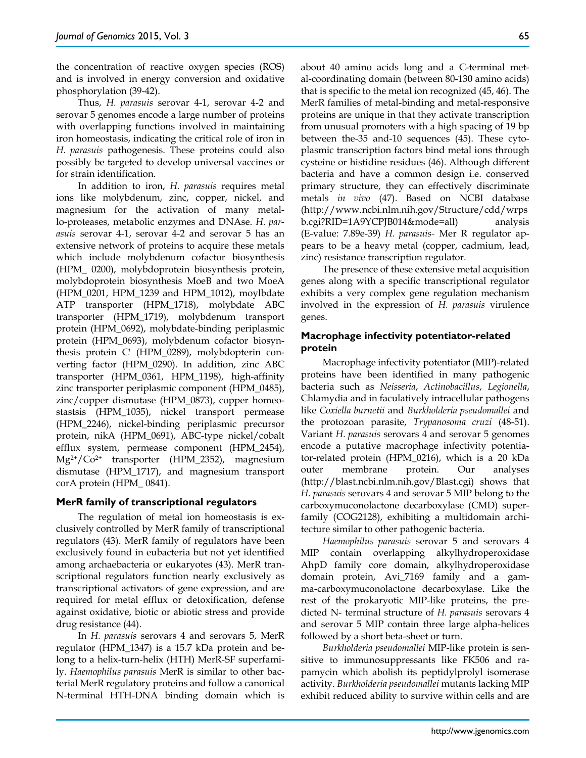the concentration of reactive oxygen species (ROS) and is involved in energy conversion and oxidative phosphorylation (39-42).

Thus, *H. parasuis* serovar 4-1, serovar 4-2 and serovar 5 genomes encode a large number of proteins with overlapping functions involved in maintaining iron homeostasis, indicating the critical role of iron in *H. parasuis* pathogenesis. These proteins could also possibly be targeted to develop universal vaccines or for strain identification.

In addition to iron, *H. parasuis* requires metal ions like molybdenum, zinc, copper, nickel, and magnesium for the activation of many metallo-proteases, metabolic enzymes and DNAse. *H. parasuis* serovar 4-1, serovar 4-2 and serovar 5 has an extensive network of proteins to acquire these metals which include molybdenum cofactor biosynthesis (HPM\_ 0200), molybdoprotein biosynthesis protein, molybdoprotein biosynthesis MoeB and two MoeA (HPM\_0201, HPM\_1239 and HPM\_1012), moylbdate ATP transporter (HPM\_1718), molybdate ABC transporter (HPM\_1719), molybdenum transport protein (HPM\_0692), molybdate-binding periplasmic protein (HPM\_0693), molybdenum cofactor biosynthesis protein C' (HPM\_0289), molybdopterin converting factor (HPM\_0290). In addition, zinc ABC transporter (HPM\_0361, HPM\_1198), high-affinity zinc transporter periplasmic component (HPM\_0485), zinc/copper dismutase (HPM\_0873), copper homeostastsis (HPM\_1035), nickel transport permease (HPM\_2246), nickel-binding periplasmic precursor protein, nikA (HPM\_0691), ABC-type nickel/cobalt efflux system, permease component (HPM\_2454), Mg2+/Co2+ transporter (HPM\_2352), magnesium dismutase (HPM\_1717), and magnesium transport corA protein (HPM\_ 0841).

#### **MerR family of transcriptional regulators**

The regulation of metal ion homeostasis is exclusively controlled by MerR family of transcriptional regulators (43). MerR family of regulators have been exclusively found in eubacteria but not yet identified among archaebacteria or eukaryotes (43). MerR transcriptional regulators function nearly exclusively as transcriptional activators of gene expression, and are required for metal efflux or detoxification, defense against oxidative, biotic or abiotic stress and provide drug resistance (44).

In *H. parasuis* serovars 4 and serovars 5, MerR regulator (HPM\_1347) is a 15.7 kDa protein and belong to a helix-turn-helix (HTH) MerR-SF superfamily. *Haemophilus parasuis* MerR is similar to other bacterial MerR regulatory proteins and follow a canonical N-terminal HTH-DNA binding domain which is about 40 amino acids long and a C-terminal metal-coordinating domain (between 80-130 amino acids) that is specific to the metal ion recognized (45, 46). The MerR families of metal-binding and metal-responsive proteins are unique in that they activate transcription from unusual promoters with a high spacing of 19 bp between the-35 and-10 sequences (45). These cytoplasmic transcription factors bind metal ions through cysteine or histidine residues (46). Although different bacteria and have a common design i.e. conserved primary structure, they can effectively discriminate metals *in vivo* (47). Based on NCBI database (http://www.ncbi.nlm.nih.gov/Structure/cdd/wrps b.cgi?RID=1A9YCPJB014&mode=all) analysis (E-value: 7.89e-39) *H. parasuis-* Mer R regulator appears to be a heavy metal (copper, cadmium, lead, zinc) resistance transcription regulator.

The presence of these extensive metal acquisition genes along with a specific transcriptional regulator exhibits a very complex gene regulation mechanism involved in the expression of *H. parasuis* virulence genes.

# **Macrophage infectivity potentiator-related protein**

Macrophage infectivity potentiator (MIP)-related proteins have been identified in many pathogenic bacteria such as *Neisseria*, *Actinobacillus*, *Legionella*, Chlamydia and in faculatively intracellular pathogens like *Coxiella burnetii* and *Burkholderia pseudomallei* and the protozoan parasite, *Trypanosoma cruzi* (48-51). Variant *H. parasuis* serovars 4 and serovar 5 genomes encode a putative macrophage infectivity potentiator-related protein (HPM\_0216), which is a 20 kDa outer membrane protein. Our analyses (http://blast.ncbi.nlm.nih.gov/Blast.cgi) shows that *H. parasuis* serovars 4 and serovar 5 MIP belong to the carboxymuconolactone decarboxylase (CMD) superfamily (COG2128), exhibiting a multidomain architecture similar to other pathogenic bacteria.

*Haemophilus parasuis* serovar 5 and serovars 4 MIP contain overlapping alkylhydroperoxidase AhpD family core domain, alkylhydroperoxidase domain protein, Avi\_7169 family and a gamma-carboxymuconolactone decarboxylase. Like the rest of the prokaryotic MIP-like proteins, the predicted N- terminal structure of *H. parasuis* serovars 4 and serovar 5 MIP contain three large alpha-helices followed by a short beta-sheet or turn.

*Burkholderia pseudomallei* MIP-like protein is sensitive to immunosuppressants like FK506 and rapamycin which abolish its peptidylprolyl isomerase activity. *Burkholderia pseudomallei* mutants lacking MIP exhibit reduced ability to survive within cells and are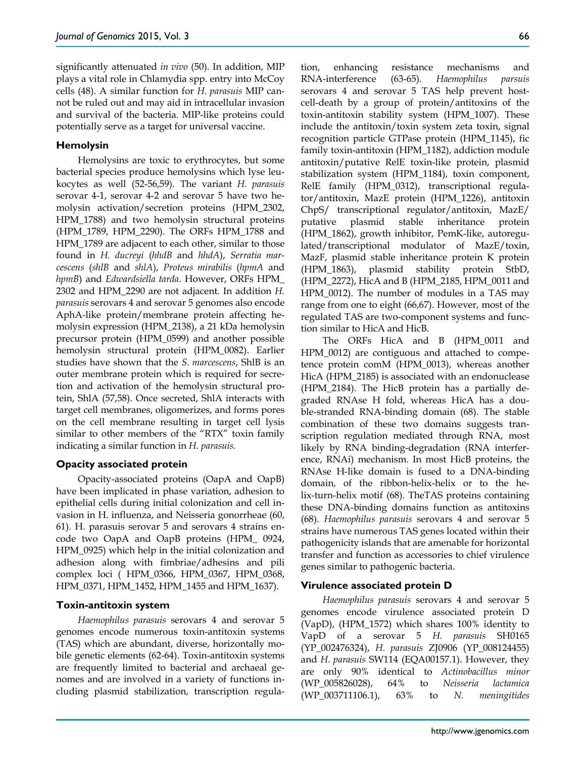significantly attenuated *in vivo* (50). In addition, MIP plays a vital role in Chlamydia spp. entry into McCoy cells (48). A similar function for *H. parasuis* MIP cannot be ruled out and may aid in intracellular invasion and survival of the bacteria. MIP-like proteins could potentially serve as a target for universal vaccine.

# **Hemolysin**

Hemolysins are toxic to erythrocytes, but some bacterial species produce hemolysins which lyse leukocytes as well (52-56,59). The variant *H. parasuis* serovar 4-1, serovar 4-2 and serovar 5 have two hemolysin activation/secretion proteins (HPM\_2302, HPM\_1788) and two hemolysin structural proteins (HPM\_1789, HPM\_2290). The ORFs HPM\_1788 and HPM\_1789 are adjacent to each other, similar to those found in *H. ducreyi* (*hhdB* and *hhdA*), *Serratia marcescens* (*shlB* and *shlA*), *Proteus mirabilis* (*hpmA* and *hpmB*) and *Edwardsiella tarda*. However, ORFs HPM\_ 2302 and HPM\_2290 are not adjacent. In addition *H. parasuis* serovars 4 and serovar 5 genomes also encode AphA-like protein/membrane protein affecting hemolysin expression (HPM\_2138), a 21 kDa hemolysin precursor protein (HPM\_0599) and another possible hemolysin structural protein (HPM\_0082). Earlier studies have shown that the *S. marcescens*, ShlB is an outer membrane protein which is required for secretion and activation of the hemolysin structural protein, ShlA (57,58). Once secreted, ShlA interacts with target cell membranes, oligomerizes, and forms pores on the cell membrane resulting in target cell lysis similar to other members of the "RTX" toxin family indicating a similar function in *H. parasuis.*

# **Opacity associated protein**

Opacity-associated proteins (OapA and OapB) have been implicated in phase variation, adhesion to epithelial cells during initial colonization and cell invasion in H. influenza, and Neisseria gonorrheae (60, 61). H. parasuis serovar 5 and serovars 4 strains encode two OapA and OapB proteins (HPM\_ 0924, HPM\_0925) which help in the initial colonization and adhesion along with fimbriae/adhesins and pili complex loci ( HPM\_0366, HPM\_0367, HPM\_0368, HPM\_0371, HPM\_1452, HPM\_1455 and HPM\_1637).

#### **Toxin-antitoxin system**

*Haemophilus parasuis* serovars 4 and serovar 5 genomes encode numerous toxin-antitoxin systems (TAS) which are abundant, diverse, horizontally mobile genetic elements (62-64). Toxin-antitoxin systems are frequently limited to bacterial and archaeal genomes and are involved in a variety of functions including plasmid stabilization, transcription regulation, enhancing resistance mechanisms and RNA-interference (63-65). *Haemophilus parsuis*  serovars 4 and serovar 5 TAS help prevent hostcell-death by a group of protein/antitoxins of the toxin-antitoxin stability system (HPM\_1007). These include the antitoxin/toxin system zeta toxin, signal recognition particle GTPase protein (HPM\_1145), fic family toxin-antitoxin (HPM\_1182), addiction module antitoxin/putative RelE toxin-like protein, plasmid stabilization system (HPM\_1184), toxin component, RelE family (HPM\_0312), transcriptional regulator/antitoxin, MazE protein (HPM\_1226), antitoxin ChpS/ transcriptional regulator/antitoxin, MazE/ putative plasmid stable inheritance protein (HPM\_1862), growth inhibitor, PemK-like, autoregulated/transcriptional modulator of MazE/toxin, MazF, plasmid stable inheritance protein K protein (HPM\_1863), plasmid stability protein StbD, (HPM\_2272), HicA and B (HPM\_2185, HPM\_0011 and HPM\_0012). The number of modules in a TAS may range from one to eight (66,67). However, most of the regulated TAS are two-component systems and function similar to HicA and HicB.

The ORFs HicA and B (HPM\_0011 and HPM\_0012) are contiguous and attached to competence protein comM (HPM\_0013), whereas another HicA (HPM\_2185) is associated with an endonuclease (HPM\_2184). The HicB protein has a partially degraded RNAse H fold, whereas HicA has a double-stranded RNA-binding domain (68). The stable combination of these two domains suggests transcription regulation mediated through RNA, most likely by RNA binding-degradation (RNA interference, RNAi) mechanism. In most HicB proteins, the RNAse H-like domain is fused to a DNA-binding domain, of the ribbon-helix-helix or to the helix-turn-helix motif (68). TheTAS proteins containing these DNA-binding domains function as antitoxins (68). *Haemophilus parasuis* serovars 4 and serovar 5 strains have numerous TAS genes located within their pathogenicity islands that are amenable for horizontal transfer and function as accessories to chief virulence genes similar to pathogenic bacteria.

#### **Virulence associated protein D**

*Haemophilus parasuis* serovars 4 and serovar 5 genomes encode virulence associated protein D (VapD), (HPM\_1572) which shares 100% identity to VapD of a serovar 5 *H. parasuis* SH0165 (YP\_002476324), *H. parasuis* ZJ0906 (YP\_008124455) and *H. parasuis* SW114 (EQA00157.1). However, they are only 90% identical to *Actinobacillus minor* (WP\_005826028), 64% to *Neisseria lactamica* (WP\_003711106.1), 63% to *N. meningitides*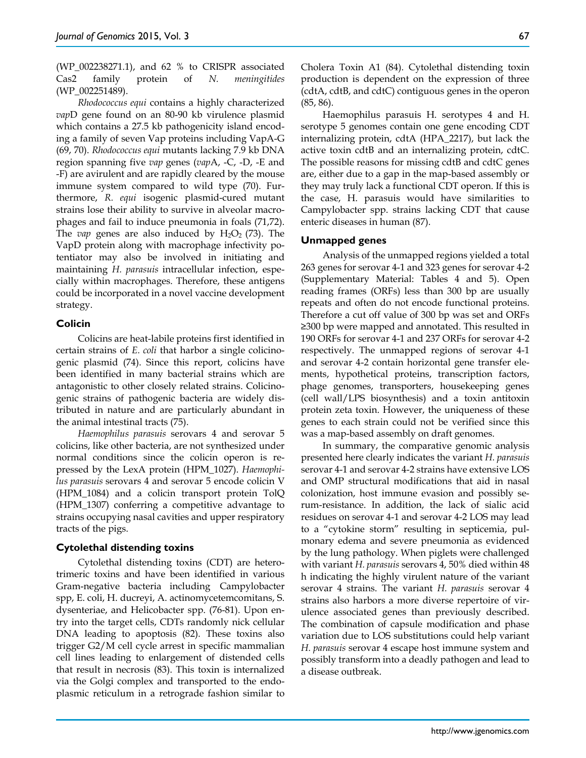(WP\_002238271.1), and 62 % to CRISPR associated Cas2 family protein of *N. meningitides* (WP\_002251489).

*Rhodococcus equi* contains a highly characterized *vap*D gene found on an 80-90 kb virulence plasmid which contains a 27.5 kb pathogenicity island encoding a family of seven Vap proteins including VapA-G (69, 70). *Rhodococcus equi* mutants lacking 7.9 kb DNA region spanning five *vap* genes (*vap*A, -C, -D, -E and -F) are avirulent and are rapidly cleared by the mouse immune system compared to wild type (70). Furthermore, *R. equi* isogenic plasmid-cured mutant strains lose their ability to survive in alveolar macrophages and fail to induce pneumonia in foals (71,72). The *vap* genes are also induced by  $H_2O_2$  (73). The VapD protein along with macrophage infectivity potentiator may also be involved in initiating and maintaining *H. parasuis* intracellular infection, especially within macrophages. Therefore, these antigens could be incorporated in a novel vaccine development strategy.

#### **Colicin**

Colicins are heat-labile proteins first identified in certain strains of *E. coli* that harbor a single colicinogenic plasmid (74). Since this report, colicins have been identified in many bacterial strains which are antagonistic to other closely related strains. Colicinogenic strains of pathogenic bacteria are widely distributed in nature and are particularly abundant in the animal intestinal tracts (75).

*Haemophilus parasuis* serovars 4 and serovar 5 colicins, like other bacteria, are not synthesized under normal conditions since the colicin operon is repressed by the LexA protein (HPM\_1027). *Haemophilus parasuis* serovars 4 and serovar 5 encode colicin V (HPM\_1084) and a colicin transport protein TolQ (HPM\_1307) conferring a competitive advantage to strains occupying nasal cavities and upper respiratory tracts of the pigs.

# **Cytolethal distending toxins**

Cytolethal distending toxins (CDT) are heterotrimeric toxins and have been identified in various Gram-negative bacteria including Campylobacter spp, E. coli, H. ducreyi, A. actinomycetemcomitans, S. dysenteriae, and Helicobacter spp. (76-81). Upon entry into the target cells, CDTs randomly nick cellular DNA leading to apoptosis (82). These toxins also trigger G2/M cell cycle arrest in specific mammalian cell lines leading to enlargement of distended cells that result in necrosis (83). This toxin is internalized via the Golgi complex and transported to the endoplasmic reticulum in a retrograde fashion similar to

Cholera Toxin A1 (84). Cytolethal distending toxin production is dependent on the expression of three (cdtA, cdtB, and cdtC) contiguous genes in the operon (85, 86).

Haemophilus parasuis H. serotypes 4 and H. serotype 5 genomes contain one gene encoding CDT internalizing protein, cdtA (HPA\_2217), but lack the active toxin cdtB and an internalizing protein, cdtC. The possible reasons for missing cdtB and cdtC genes are, either due to a gap in the map-based assembly or they may truly lack a functional CDT operon. If this is the case, H. parasuis would have similarities to Campylobacter spp. strains lacking CDT that cause enteric diseases in human (87).

#### **Unmapped genes**

Analysis of the unmapped regions yielded a total 263 genes for serovar 4-1 and 323 genes for serovar 4-2 (Supplementary Material: Tables 4 and 5). Open reading frames (ORFs) less than 300 bp are usually repeats and often do not encode functional proteins. Therefore a cut off value of 300 bp was set and ORFs ≥300 bp were mapped and annotated. This resulted in 190 ORFs for serovar 4-1 and 237 ORFs for serovar 4-2 respectively. The unmapped regions of serovar 4-1 and serovar 4-2 contain horizontal gene transfer elements, hypothetical proteins, transcription factors, phage genomes, transporters, housekeeping genes (cell wall/LPS biosynthesis) and a toxin antitoxin protein zeta toxin. However, the uniqueness of these genes to each strain could not be verified since this was a map-based assembly on draft genomes.

In summary, the comparative genomic analysis presented here clearly indicates the variant *H. parasuis* serovar 4-1 and serovar 4-2 strains have extensive LOS and OMP structural modifications that aid in nasal colonization, host immune evasion and possibly serum-resistance. In addition, the lack of sialic acid residues on serovar 4-1 and serovar 4-2 LOS may lead to a "cytokine storm" resulting in septicemia, pulmonary edema and severe pneumonia as evidenced by the lung pathology. When piglets were challenged with variant *H. parasuis* serovars 4, 50% died within 48 h indicating the highly virulent nature of the variant serovar 4 strains. The variant *H. parasuis* serovar 4 strains also harbors a more diverse repertoire of virulence associated genes than previously described. The combination of capsule modification and phase variation due to LOS substitutions could help variant *H. parasuis* serovar 4 escape host immune system and possibly transform into a deadly pathogen and lead to a disease outbreak.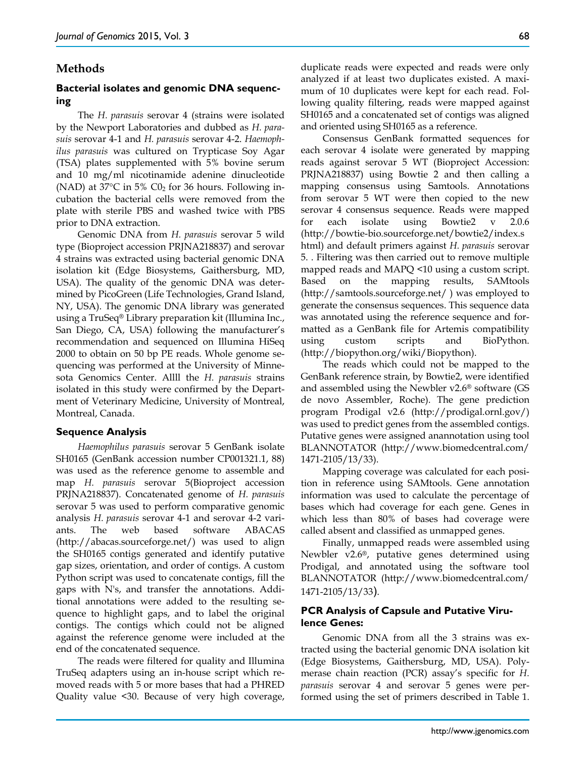# **Methods**

# **Bacterial isolates and genomic DNA sequencing**

The *H. parasuis* serovar 4 (strains were isolated by the Newport Laboratories and dubbed as *H. parasuis* serovar 4-1 and *H. parasuis* serovar 4-2. *Haemophilus parasuis* was cultured on Trypticase Soy Agar (TSA) plates supplemented with 5% bovine serum and 10 mg/ml nicotinamide adenine dinucleotide (NAD) at  $37^{\circ}$ C in 5% C0<sub>2</sub> for 36 hours. Following incubation the bacterial cells were removed from the plate with sterile PBS and washed twice with PBS prior to DNA extraction.

Genomic DNA from *H. parasuis* serovar 5 wild type (Bioproject accession PRJNA218837) and serovar 4 strains was extracted using bacterial genomic DNA isolation kit (Edge Biosystems, Gaithersburg, MD, USA). The quality of the genomic DNA was determined by PicoGreen (Life Technologies, Grand Island, NY, USA). The genomic DNA library was generated using a TruSeq® Library preparation kit (Illumina Inc., San Diego, CA, USA) following the manufacturer's recommendation and sequenced on Illumina HiSeq 2000 to obtain on 50 bp PE reads. Whole genome sequencing was performed at the University of Minnesota Genomics Center. Allll the *H. parasuis* strains isolated in this study were confirmed by the Department of Veterinary Medicine, University of Montreal, Montreal, Canada.

#### **Sequence Analysis**

*Haemophilus parasuis* serovar 5 GenBank isolate SH0165 (GenBank accession number CP001321.1, 88) was used as the reference genome to assemble and map *H. parasuis* serovar 5(Bioproject accession PRJNA218837). Concatenated genome of *H. parasuis* serovar 5 was used to perform comparative genomic analysis *H. parasuis* serovar 4-1 and serovar 4-2 variants. The web based software ABACAS (http://abacas.sourceforge.net/) was used to align the SH0165 contigs generated and identify putative gap sizes, orientation, and order of contigs. A custom Python script was used to concatenate contigs, fill the gaps with N's, and transfer the annotations. Additional annotations were added to the resulting sequence to highlight gaps, and to label the original contigs. The contigs which could not be aligned against the reference genome were included at the end of the concatenated sequence.

The reads were filtered for quality and Illumina TruSeq adapters using an in-house script which removed reads with 5 or more bases that had a PHRED Quality value <30. Because of very high coverage, duplicate reads were expected and reads were only analyzed if at least two duplicates existed. A maximum of 10 duplicates were kept for each read. Following quality filtering, reads were mapped against SH0165 and a concatenated set of contigs was aligned and oriented using SH0165 as a reference.

Consensus GenBank formatted sequences for each serovar 4 isolate were generated by mapping reads against serovar 5 WT (Bioproject Accession: PRJNA218837) using Bowtie 2 and then calling a mapping consensus using Samtools. Annotations from serovar 5 WT were then copied to the new serovar 4 consensus sequence. Reads were mapped for each isolate using Bowtie2 v 2.0.6 (http://bowtie-bio.sourceforge.net/bowtie2/index.s html) and default primers against *H. parasuis* serovar 5. . Filtering was then carried out to remove multiple mapped reads and MAPQ <10 using a custom script. Based on the mapping results, SAMtools (http://samtools.sourceforge.net/ ) was employed to generate the consensus sequences. This sequence data was annotated using the reference sequence and formatted as a GenBank file for Artemis compatibility using custom scripts and BioPython. (http://biopython.org/wiki/Biopython).

The reads which could not be mapped to the GenBank reference strain, by Bowtie2, were identified and assembled using the Newbler v2.6® software (GS de novo Assembler, Roche). The gene prediction program Prodigal v2.6 (http://prodigal.ornl.gov/) was used to predict genes from the assembled contigs. Putative genes were assigned anannotation using tool BLANNOTATOR (http://www.biomedcentral.com/ 1471-2105/13/33).

Mapping coverage was calculated for each position in reference using SAMtools. Gene annotation information was used to calculate the percentage of bases which had coverage for each gene. Genes in which less than 80% of bases had coverage were called absent and classified as unmapped genes.

Finally, unmapped reads were assembled using Newbler v2.6®, putative genes determined using Prodigal, and annotated using the software tool BLANNOTATOR (http://www.biomedcentral.com/ 1471-2105/13/33).

#### **PCR Analysis of Capsule and Putative Virulence Genes:**

Genomic DNA from all the 3 strains was extracted using the bacterial genomic DNA isolation kit (Edge Biosystems, Gaithersburg, MD, USA). Polymerase chain reaction (PCR) assay's specific for *H. parasuis* serovar 4 and serovar 5 genes were performed using the set of primers described in Table 1.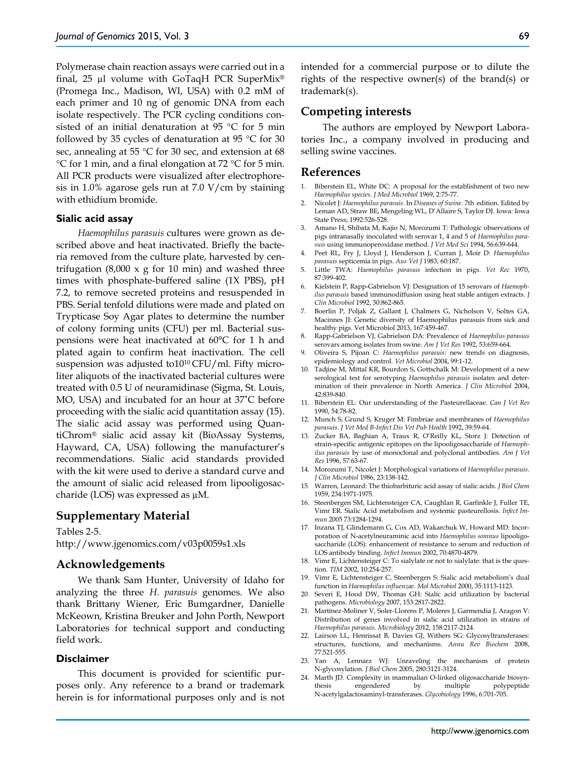Polymerase chain reaction assays were carried out in a final, 25 µl volume with GoTaqH PCR SuperMix® (Promega Inc., Madison, WI, USA) with 0.2 mM of each primer and 10 ng of genomic DNA from each isolate respectively. The PCR cycling conditions consisted of an initial denaturation at 95 °C for 5 min followed by 35 cycles of denaturation at 95 °C for 30 sec, annealing at 55 °C for 30 sec, and extension at 68 °C for 1 min, and a final elongation at 72 °C for 5 min. All PCR products were visualized after electrophoresis in 1.0% agarose gels run at 7.0 V/cm by staining with ethidium bromide.

#### **Sialic acid assay**

*Haemophilus parasuis* cultures were grown as described above and heat inactivated. Briefly the bacteria removed from the culture plate, harvested by centrifugation  $(8,000 \times g)$  for 10 min) and washed three times with phosphate-buffered saline (1X PBS), pH 7.2, to remove secreted proteins and resuspended in PBS. Serial tenfold dilutions were made and plated on Trypticase Soy Agar plates to determine the number of colony forming units (CFU) per ml. Bacterial suspensions were heat inactivated at 60°C for 1 h and plated again to confirm heat inactivation. The cell suspension was adjusted to10<sup>10</sup> CFU/ml. Fifty microliter aliquots of the inactivated bacterial cultures were treated with 0.5 U of neuramidinase (Sigma, St. Louis, MO, USA) and incubated for an hour at 37˚C before proceeding with the sialic acid quantitation assay (15). The sialic acid assay was performed using QuantiChrom® sialic acid assay kit (BioAssay Systems, Hayward, CA, USA) following the manufacturer's recommendations. Sialic acid standards provided with the kit were used to derive a standard curve and the amount of sialic acid released from lipooligosaccharide (LOS) was expressed as µM.

## **Supplementary Material**

Tables 2-5. http://www.jgenomics.com/v03p0059s1.xls

#### **Acknowledgements**

We thank Sam Hunter, University of Idaho for analyzing the three *H. parasuis* genomes. We also thank Brittany Wiener, Eric Bumgardner, Danielle McKeown, Kristina Breuker and John Porth, Newport Laboratories for technical support and conducting field work.

#### **Disclaimer**

This document is provided for scientific purposes only. Any reference to a brand or trademark herein is for informational purposes only and is not intended for a commercial purpose or to dilute the rights of the respective owner(s) of the brand(s) or trademark(s).

### **Competing interests**

The authors are employed by Newport Laboratories Inc., a company involved in producing and selling swine vaccines.

## **References**

- 1. Biberstein EL, White DC: A proposal for the establishment of two new *Haemophilus species*. *J Med Microbiol* 1969, 2:75-77.
- 2. Nicolet J: *Haemophilus parasuis*. In *Diseases of Swine.* 7th edition. Edited by Leman AD, Straw BE, Mengeling WL, D'Allaire S, Taylor DJ. Iowa: Iowa State Press; 1992:526-528.
- 3. Amano H, Shibata M, Kajio N, Morozumi T: Pathologic observations of pigs intranasally inoculated with serovar 1, 4 and 5 of *Haemophilus parasuis* using immunoperoxidase method. *J Vet Med Sci* 1994, 56:639-644.
- 4. Peet RL, Fry J, Lloyd J, Henderson J, Curran J, Moir D: *Haemophilus parasuis* septicemia in pigs. *Aus Vet J* 1983, 60:187.
- 5. Little TWA: *Haemophilus parasuis* infection in pigs. *Vet Rec* 1970, 87:399-402.
- 6. Kielstein P, Rapp-Gabrielson VJ: Designation of 15 serovars of *Haemophilus parasuis* based immunodiffusion using heat stable antigen extracts. *J Clin Microbiol* 1992, 30:862-865.
- 7. Boerlin P, Poljak Z, Gallant J, Chalmers G, Nicholson V, Soltes GA, Macinnes JI: Genetic diversity of Haemophilus parasuis from sick and healthy pigs. Vet Microbiol 2013, 167:459-467.
- 8. Rapp-Gabrielson VJ, Gabrielson DA: Prevalence of *Haemophilus parasuis*  serovars among isolates from swine. *Am J Vet Res* 1992, 53:659-664.
- 9. Oliveira S, Pijoan C: *Haemophilus parasuis*: new trends on diagnosis, epidemiology and control. *Vet Microbiol* 2004, 99:1-12.
- 10. Tadjine M, Mittal KR, Bourdon S, Gottschalk M: Development of a new serological test for serotyping *Haemophilus parasuis* isolates and determination of their prevalence in North America. *J Clin Microbiol* 2004, 42:839-840.
- 11. Biberstein EL: Our understanding of the Pasteurellaceae. *Can J Vet Res*  1990, 54:78-82.
- 12. Munch S, Grund S, Kruger M: Fimbriae and membranes of *Haemophilus parasuis*. *J Vet Med B-Infect Dis Vet Pub Health* 1992, 39:59-64.
- 13. Zucker BA, Baghian A, Traux R, O'Reilly KL, Storz J: Detection of strain-specific antigenic epitopes on the lipooligosaccharide of *Haemophilus parasuis* by use of monoclonal and polyclonal antibodies. *Am J Vet Res* 1996, 57:63-67.
- 14. Morozumi T, Nicolet J: Morphological variations of *Haemophilus parasuis*. *J Clin Microbiol* 1986, 23:138-142.
- 15. Warren, Leonard: The thiobarbituric acid assay of sialic acids. *J Biol Chem*  1959, 234:1971-1975.
- 16. Steenbergen SM, Lichtensteiger CA, Caughlan R, Garfinkle J, Fuller TE, Vimr ER. Sialic Acid metabolism and systemic pasteurellosis. *Infect Immun* 2005 73:1284-1294.
- 17. Inzana TJ, Glindemann G, Cox AD, Wakarchuk W, Howard MD: Incorporation of N-acetylneuraminic acid into *Haemophilus somnus* lipooligosaccharide (LOS): enhancement of resistance to serum and reduction of LOS antibody binding. *Infect Immun* 2002, 70:4870-4879.
- 18. Vimr E, Lichtensteiger C: To sialylate or not to sialylate: that is the question. *TIM* 2002, 10:254-257.
- 19. Vimr E, Lichtensteiger C, Steenbergen S: Sialic acid metabolism's dual function in *Haemophilus influenzae*. *Mol Microbiol* 2000, 35:1113-1123.
- 20. Severi E, Hood DW, Thomas GH: Sialic acid utilization by bacterial pathogens. *Microbiology* 2007, 153:2817-2822.
- 21. Martínez-Moliner V, Soler-Llorens P, Moleres J, Garmendia J, Aragon V: Distribution of genes involved in sialic acid utilization in strains of *Haemophilus parasuis*. *Microbiology* 2012, 158:2117-2124.
- 22. Lairson LL, Henrissat B, Davies GJ, Withers SG: Glycosyltransferases: structures, functions, and mechanisms. *Annu Rev Biochem* 2008, 77:521-555.
- 23. Yan A, Lennarz WJ: Unraveling the mechanism of protein N-glycosylation. *J Biol Chem* 2005, 280:3121-3124.
- 24. Marth JD. Complexity in mammalian O-linked oligosaccharide biosynthesis engendered by multiple polypeptide N-acetylgalactosaminyl-transferases. *Glycobiology* 1996, 6:701-705.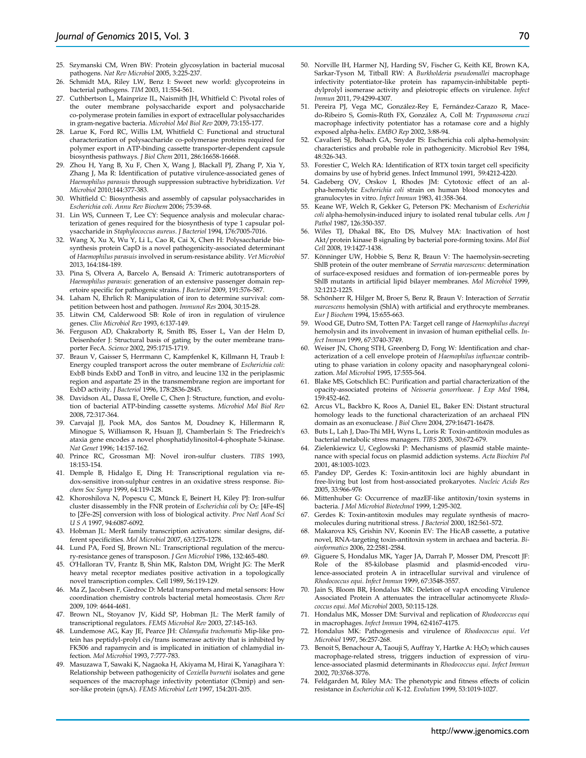- 25. Szymanski CM, Wren BW: Protein glycosylation in bacterial mucosal pathogens. *Nat Rev Microbiol* 2005, 3:225-237.
- 26. Schmidt MA, Riley LW, Benz I: Sweet new world: glycoproteins in bacterial pathogens. *TIM* 2003, 11:554-561.
- 27. Cuthbertson L, Mainprize IL, Naismith JH, Whitfield C: Pivotal roles of the outer membrane polysaccharide export and polysaccharide co-polymerase protein families in export of extracellular polysaccharides in gram-negative bacteria. *Microbiol Mol Biol Rev* 2009, 73:155-177.
- 28. Larue K, Ford RC, Willis LM, Whitfield C: Functional and structural characterization of polysaccharide co-polymerase proteins required for polymer export in ATP-binding cassette transporter-dependent capsule biosynthesis pathways. *J Biol Chem* 2011, 286:16658-16668.
- 29. Zhou H, Yang B, Xu F, Chen X, Wang J, Blackall PJ, Zhang P, Xia Y, Zhang J, Ma R: Identification of putative virulence-associated genes of *Haemophilus parasuis* through suppression subtractive hybridization. *Vet Microbiol* 2010;144:377-383.
- 30. Whitfield C: Biosynthesis and assembly of capsular polysaccharides in *Escherichia coli*. *Annu Rev Biochem* 2006; 75:39-68.
- 31. Lin WS, Cunneen T, Lee CY: Sequence analysis and molecular characterization of genes required for the biosynthesis of type 1 capsular polysaccharide in *Staphylococcus aureus*. *J Bacteriol* 1994, 176:7005-7016.
- 32. Wang X, Xu X, Wu Y, Li L, Cao R, Cai X, Chen H: Polysaccharide biosynthesis protein CapD is a novel pathogenicity-associated determinant of *Haemophilus parasuis* involved in serum-resistance ability. *Vet Microbiol* 2013, 164:184-189.
- 33. Pina S, Olvera A, Barcelo A, Bensaid A: Trimeric autotransporters of *Haemophilus parasuis*: generation of an extensive passenger domain repertoire specific for pathogenic strains. *J Bacteriol* 2009, 191:576-587.
- 34. Laham N, Ehrlich R: Manipulation of iron to determine survival: competition between host and pathogen. *Immunol Res* 2004, 30:15-28.
- 35. Litwin CM, Calderwood SB: Role of iron in regulation of virulence genes. *Clin Microbiol Rev* 1993, 6:137-149.
- 36. Ferguson AD, Chakraborty R, Smith BS, Esser L, Van der Helm D, Deisenhofer J: Structural basis of gating by the outer membrane transporter FecA. *Science* 2002, 295:1715-1719.
- 37. Braun V, Gaisser S, Herrmann C, Kampfenkel K, Killmann H, Traub I: Energy coupled transport across the outer membrane of *Escherichia coli*: ExbB binds ExbD and TonB in vitro, and leucine 132 in the periplasmic region and aspartate 25 in the transmembrane region are important for ExbD activity. *J Bacteriol* 1996, 178:2836-2845.
- 38. Davidson AL, Dassa E, Orelle C, Chen J: Structure, function, and evolution of bacterial ATP-binding cassette systems. *Microbiol Mol Biol Rev* 2008, 72:317-364.
- 39. Carvajal JJ, Pook MA, dos Santos M, Doudney K, Hillermann R, Minogue S, Williamson R, Hsuan JJ, Chamberlain S: The Friedreich's ataxia gene encodes a novel phosphatidylinositol-4-phosphate 5-kinase. *Nat Genet* 1996; 14:157-162.
- 40. Prince RC, Grossman MJ: Novel iron-sulfur clusters. *TIBS* 1993, 18:153-154.
- 41. Demple B, Hidalgo E, Ding H: Transcriptional regulation via redox-sensitive iron-sulphur centres in an oxidative stress response. *Biochem Soc Symp* 1999, 64:119-128.
- 42. Khoroshilova N, Popescu C, Münck E, Beinert H, Kiley PJ: Iron-sulfur cluster disassembly in the FNR protein of *Escherichia coli* by O2: [4Fe-4S] to [2Fe-2S] conversion with loss of biological activity. *Proc Natl Acad Sci U S A* 1997, 94:6087-6092.
- 43. Hobman JL: MerR family transcription activators: similar designs, different specificities. *Mol Microbiol* 2007, 63:1275-1278.
- 44. Lund PA, Ford SJ, Brown NL: Transcriptional regulation of the mercury-resistance genes of transposon. *J Gen Microbiol* 1986, 132:465-480.
- 45. O'Halloran TV, Frantz B, Shin MK, Ralston DM, Wright JG: The MerR heavy metal receptor mediates positive activation in a topologically novel transcription complex. Cell 1989, 56:119-129.
- 46. Ma Z, Jacobsen F, Giedroc D: Metal transporters and metal sensors: How coordination chemistry controls bacterial metal homeostasis. *Chem Rev* 2009, 109: 4644-4681.
- 47. Brown NL, Stoyanov JV, Kidd SP, Hobman JL: The MerR family of transcriptional regulators. *FEMS Microbiol Rev* 2003, 27:145-163.
- 48. Lundemose AG, Kay JE, Pearce JH: *Chlamydia trachomatis* Mip-like protein has peptidyl-prolyl cis/trans isomerase activity that is inhibited by FK506 and rapamycin and is implicated in initiation of chlamydial infection. *Mol Microbiol* 1993, 7:777-783.
- 49. Masuzawa T, Sawaki K, Nagaoka H, Akiyama M, Hirai K, Yanagihara Y: Relationship between pathogenicity of *Coxiella burnetii* isolates and gene sequences of the macrophage infectivity potentiator (Cbmip) and sensor-like protein (qrsA). *FEMS Microbiol Lett* 1997, 154:201-205.
- 50. Norville IH, Harmer NJ, Harding SV, Fischer G, Keith KE, Brown KA, Sarkar-Tyson M, Titball RW: A *Burkholderia pseudomallei* macrophage infectivity potentiator-like protein has rapamycin-inhibitable peptidylprolyl isomerase activity and pleiotropic effects on virulence. *Infect Immun* 2011, 79:4299-4307.
- 51. Pereira PJ, Vega MC, González-Rey E, Fernández-Carazo R, Macedo-Ribeiro S, Gomis-Rüth FX, González A, Coll M: *Trypanosoma cruzi* macrophage infectivity potentiator has a rotamase core and a highly exposed alpha-helix. *EMBO Rep* 2002, 3:88-94.
- 52. Cavalieri SJ, Bohach GA, Snyder IS: Escherichia coli alpha-hemolysin: characteristics and probable role in pathogenicity*.* Microbiol Rev 1984, 48:326-343.
- 53. Forestier C, Welch RA: Identification of RTX toxin target cell specificity domains by use of hybrid genes. Infect Immunol 1991, 59:4212-4220.
- 54. Gadeberg OV, Orskov I, Rhodes JM: Cytotoxic effect of an alpha-hemolytic *Escherichia coli* strain on human blood monocytes and granulocytes in vitro. *Infect Immun* 1983, 41:358-364.
- 55. Keane WF, Welch R, Gekker G, Peterson PK: Mechanism of *Escherichia coli* alpha-hemolysin-induced injury to isolated renal tubular cells. *Am J Pathol* 1987, 126:350-357.
- 56. Wiles TJ, Dhakal BK, Eto DS, Mulvey MA: Inactivation of host Akt/protein kinase B signaling by bacterial pore-forming toxins. *Mol Biol Cell* 2008, 19:1427-1438.
- 57. Könninger UW, Hobbie S, Benz R, Braun V: The haemolysin-secreting ShlB protein of the outer membrane of *Serratia marcescens*: determination of surface-exposed residues and formation of ion-permeable pores by ShlB mutants in artificial lipid bilayer membranes. *Mol Microbiol* 1999, 32:1212-1225.
- 58. Schönherr R, Hilger M, Broer S, Benz R, Braun V: Interaction of *Serratia marcescens* hemolysin (ShlA) with artificial and erythrocyte membranes. *Eur J Biochem* 1994, 15:655-663.
- 59. Wood GE, Dutro SM, Totten PA: Target cell range of *Haemophilus ducreyi* hemolysin and its involvement in invasion of human epithelial cells. *Infect Immun* 1999, 67:3740-3749.
- 60. Weiser JN, Chong STH, Greenberg D, Fong W: Identification and characterization of a cell envelope protein of *Haemophilus influenzae* contributing to phase variation in colony opacity and nasopharyngeal colonization. *Mol Microbiol* 1995, 17:555-564.
- 61. Blake MS, Gotschlich EC: Purification and partial characterization of the opacity-associated proteins of *Neisseria gonorrhoeae*. *J Exp Med* 1984, 159:452-462.
- 62. Arcus VL, Backbro K, Roos A, Daniel EL, Baker EN: Distant structural homology leads to the functional characterization of an archaeal PIN domain as an exonuclease. *J Biol Chem* 2004, 279:16471-16478.
- Buts L, Lah J, Dao-Thi MH, Wyns L, Loris R: Toxin-antitoxin modules as bacterial metabolic stress managers. *TIBS* 2005, 30:672-679.
- 64. Zielenkiewicz U, Ceglowski P: Mechanisms of plasmid stable maintenance with special focus on plasmid addiction systems. *Acta Biochim Pol*  2001, 48:1003-1023.
- 65. Pandey DP, Gerdes K: Toxin-antitoxin loci are highly abundant in free-living but lost from host-associated prokaryotes. *Nucleic Acids Res* 2005, 33:966-976
- 66. Mittenhuber G: Occurrence of mazEF-like antitoxin/toxin systems in bacteria. *J Mol Microbiol Biotechnol* 1999, 1:295-302.
- 67. Gerdes K: Toxin-antitoxin modules may regulate synthesis of macromolecules during nutritional stress. *J Bacteriol* 2000, 182:561-572.
- 68. Makarova KS, Grishin NV, Koonin EV: The HicAB cassette, a putative novel, RNA-targeting toxin-antitoxin system in archaea and bacteria. *Bioinformatics* 2006, 22:2581-2584.
- 69. Giguere S, Hondalus MK, Yager JA, Darrah P, Mosser DM, Prescott JF: Role of the 85-kilobase plasmid and plasmid-encoded virulence-associated protein A in intracellular survival and virulence of *Rhodococcus equi*. *Infect Immun* 1999, 67:3548-3557.
- 70. Jain S, Bloom BR, Hondalus MK: Deletion of vapA encoding Virulence Associated Protein A attenuates the intracellular actinomycete *Rhodococcus equi*. *Mol Microbiol* 2003, 50:115-128.
- 71. Hondalus MK, Mosser DM: Survival and replication of *Rhodococcus equi* in macrophages. *Infect Immun* 1994, 62:4167-4175.
- 72. Hondalus MK: Pathogenesis and virulence of *Rhodococcus equi*. *Vet Microbiol* 1997, 56:257-268.
- 73. Benoit S, Benachour A, Taouji S, Auffray Y, Hartke A: H<sub>2</sub>O<sub>2</sub> which causes macrophage-related stress, triggers induction of expression of virulence-associated plasmid determinants in *Rhodococcus equi*. *Infect Immun* 2002, 70:3768-3776.
- 74. Feldgarden M, Riley MA: The phenotypic and fitness effects of colicin resistance in *Escherichia coli* K-12. *Evolution* 1999, 53:1019-1027.